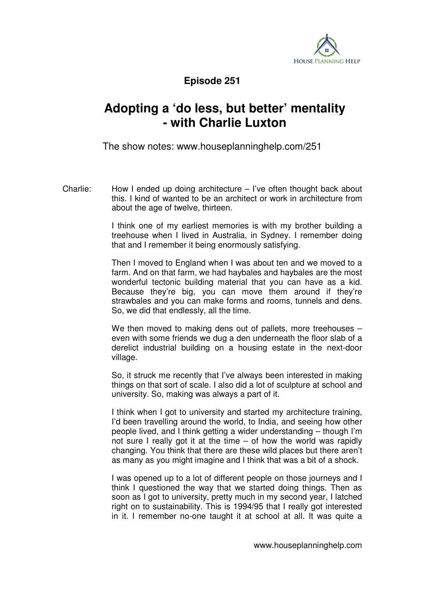

**Episode 251** 

## **Adopting a 'do less, but better' mentality - with Charlie Luxton**

The show notes: www.houseplanninghelp.com/251

Charlie: How I ended up doing architecture – I've often thought back about this. I kind of wanted to be an architect or work in architecture from about the age of twelve, thirteen.

> I think one of my earliest memories is with my brother building a treehouse when I lived in Australia, in Sydney. I remember doing that and I remember it being enormously satisfying.

> Then I moved to England when I was about ten and we moved to a farm. And on that farm, we had haybales and haybales are the most wonderful tectonic building material that you can have as a kid. Because they're big, you can move them around if they're strawbales and you can make forms and rooms, tunnels and dens. So, we did that endlessly, all the time.

> We then moved to making dens out of pallets, more treehouses even with some friends we dug a den underneath the floor slab of a derelict industrial building on a housing estate in the next-door village.

> So, it struck me recently that I've always been interested in making things on that sort of scale. I also did a lot of sculpture at school and university. So, making was always a part of it.

> I think when I got to university and started my architecture training, I'd been travelling around the world, to India, and seeing how other people lived, and I think getting a wider understanding – though I'm not sure I really got it at the time – of how the world was rapidly changing. You think that there are these wild places but there aren't as many as you might imagine and I think that was a bit of a shock.

> I was opened up to a lot of different people on those journeys and I think I questioned the way that we started doing things. Then as soon as I got to university, pretty much in my second year, I latched right on to sustainability. This is 1994/95 that I really got interested in it. I remember no-one taught it at school at all. It was quite a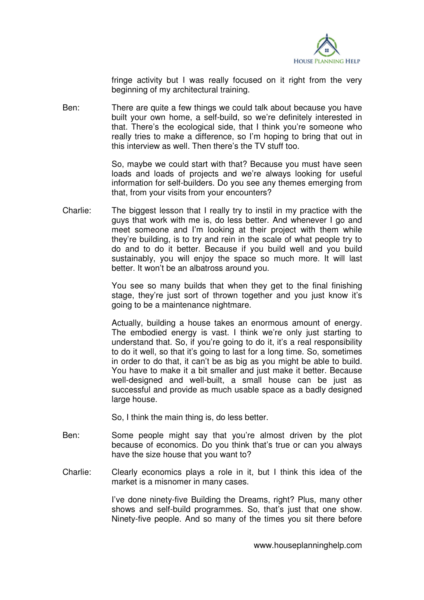

fringe activity but I was really focused on it right from the very beginning of my architectural training.

Ben: There are quite a few things we could talk about because you have built your own home, a self-build, so we're definitely interested in that. There's the ecological side, that I think you're someone who really tries to make a difference, so I'm hoping to bring that out in this interview as well. Then there's the TV stuff too.

> So, maybe we could start with that? Because you must have seen loads and loads of projects and we're always looking for useful information for self-builders. Do you see any themes emerging from that, from your visits from your encounters?

Charlie: The biggest lesson that I really try to instil in my practice with the guys that work with me is, do less better. And whenever I go and meet someone and I'm looking at their project with them while they're building, is to try and rein in the scale of what people try to do and to do it better. Because if you build well and you build sustainably, you will enjoy the space so much more. It will last better. It won't be an albatross around you.

> You see so many builds that when they get to the final finishing stage, they're just sort of thrown together and you just know it's going to be a maintenance nightmare.

> Actually, building a house takes an enormous amount of energy. The embodied energy is vast. I think we're only just starting to understand that. So, if you're going to do it, it's a real responsibility to do it well, so that it's going to last for a long time. So, sometimes in order to do that, it can't be as big as you might be able to build. You have to make it a bit smaller and just make it better. Because well-designed and well-built, a small house can be just as successful and provide as much usable space as a badly designed large house.

So, I think the main thing is, do less better.

- Ben: Some people might say that you're almost driven by the plot because of economics. Do you think that's true or can you always have the size house that you want to?
- Charlie: Clearly economics plays a role in it, but I think this idea of the market is a misnomer in many cases.

 I've done ninety-five Building the Dreams, right? Plus, many other shows and self-build programmes. So, that's just that one show. Ninety-five people. And so many of the times you sit there before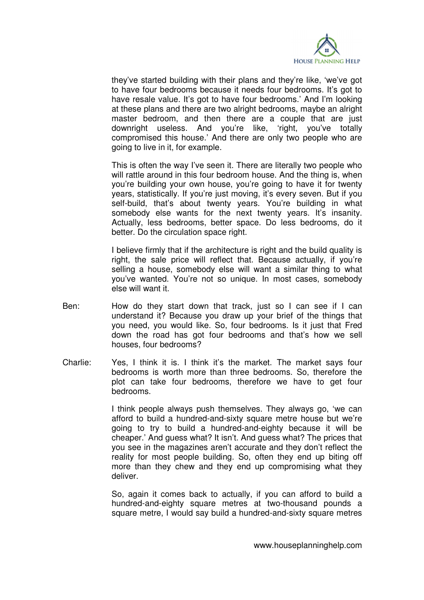

they've started building with their plans and they're like, 'we've got to have four bedrooms because it needs four bedrooms. It's got to have resale value. It's got to have four bedrooms.' And I'm looking at these plans and there are two alright bedrooms, maybe an alright master bedroom, and then there are a couple that are just downright useless. And you're like, 'right, you've totally compromised this house.' And there are only two people who are going to live in it, for example.

 This is often the way I've seen it. There are literally two people who will rattle around in this four bedroom house. And the thing is, when you're building your own house, you're going to have it for twenty years, statistically. If you're just moving, it's every seven. But if you self-build, that's about twenty years. You're building in what somebody else wants for the next twenty years. It's insanity. Actually, less bedrooms, better space. Do less bedrooms, do it better. Do the circulation space right.

I believe firmly that if the architecture is right and the build quality is right, the sale price will reflect that. Because actually, if you're selling a house, somebody else will want a similar thing to what you've wanted. You're not so unique. In most cases, somebody else will want it.

- Ben: How do they start down that track, just so I can see if I can understand it? Because you draw up your brief of the things that you need, you would like. So, four bedrooms. Is it just that Fred down the road has got four bedrooms and that's how we sell houses, four bedrooms?
- Charlie: Yes, I think it is. I think it's the market. The market says four bedrooms is worth more than three bedrooms. So, therefore the plot can take four bedrooms, therefore we have to get four bedrooms.

 I think people always push themselves. They always go, 'we can afford to build a hundred-and-sixty square metre house but we're going to try to build a hundred-and-eighty because it will be cheaper.' And guess what? It isn't. And guess what? The prices that you see in the magazines aren't accurate and they don't reflect the reality for most people building. So, often they end up biting off more than they chew and they end up compromising what they deliver.

 So, again it comes back to actually, if you can afford to build a hundred-and-eighty square metres at two-thousand pounds a square metre, I would say build a hundred-and-sixty square metres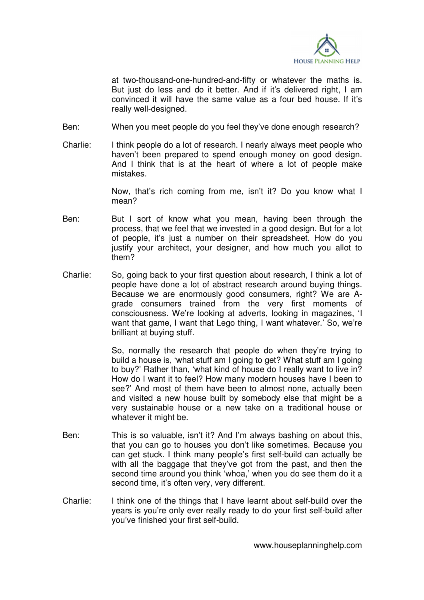

at two-thousand-one-hundred-and-fifty or whatever the maths is. But just do less and do it better. And if it's delivered right, I am convinced it will have the same value as a four bed house. If it's really well-designed.

- Ben: When you meet people do you feel they've done enough research?
- Charlie: I think people do a lot of research. I nearly always meet people who haven't been prepared to spend enough money on good design. And I think that is at the heart of where a lot of people make mistakes.

 Now, that's rich coming from me, isn't it? Do you know what I mean?

- Ben: But I sort of know what you mean, having been through the process, that we feel that we invested in a good design. But for a lot of people, it's just a number on their spreadsheet. How do you justify your architect, your designer, and how much you allot to them?
- Charlie: So, going back to your first question about research, I think a lot of people have done a lot of abstract research around buying things. Because we are enormously good consumers, right? We are Agrade consumers trained from the very first moments of consciousness. We're looking at adverts, looking in magazines, 'I want that game, I want that Lego thing, I want whatever.' So, we're brilliant at buying stuff.

 So, normally the research that people do when they're trying to build a house is, 'what stuff am I going to get? What stuff am I going to buy?' Rather than, 'what kind of house do I really want to live in? How do I want it to feel? How many modern houses have I been to see?' And most of them have been to almost none, actually been and visited a new house built by somebody else that might be a very sustainable house or a new take on a traditional house or whatever it might be.

- Ben: This is so valuable, isn't it? And I'm always bashing on about this, that you can go to houses you don't like sometimes. Because you can get stuck. I think many people's first self-build can actually be with all the baggage that they've got from the past, and then the second time around you think 'whoa,' when you do see them do it a second time, it's often very, very different.
- Charlie: I think one of the things that I have learnt about self-build over the years is you're only ever really ready to do your first self-build after you've finished your first self-build.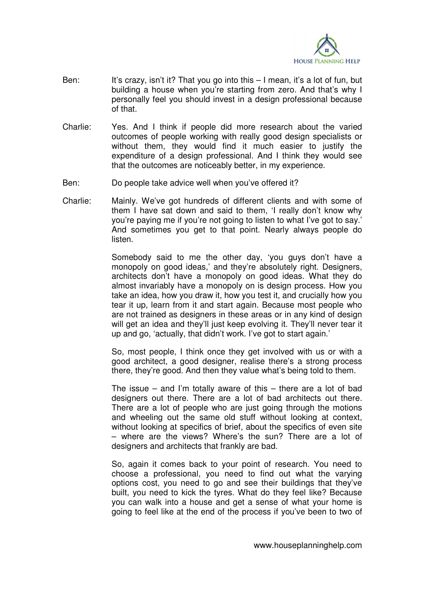

- Ben: It's crazy, isn't it? That you go into this I mean, it's a lot of fun, but building a house when you're starting from zero. And that's why I personally feel you should invest in a design professional because of that.
- Charlie: Yes. And I think if people did more research about the varied outcomes of people working with really good design specialists or without them, they would find it much easier to justify the expenditure of a design professional. And I think they would see that the outcomes are noticeably better, in my experience.
- Ben: Do people take advice well when you've offered it?
- Charlie: Mainly. We've got hundreds of different clients and with some of them I have sat down and said to them, 'I really don't know why you're paying me if you're not going to listen to what I've got to say.' And sometimes you get to that point. Nearly always people do listen.

 Somebody said to me the other day, 'you guys don't have a monopoly on good ideas,' and they're absolutely right. Designers, architects don't have a monopoly on good ideas. What they do almost invariably have a monopoly on is design process. How you take an idea, how you draw it, how you test it, and crucially how you tear it up, learn from it and start again. Because most people who are not trained as designers in these areas or in any kind of design will get an idea and they'll just keep evolving it. They'll never tear it up and go, 'actually, that didn't work. I've got to start again.'

 So, most people, I think once they get involved with us or with a good architect, a good designer, realise there's a strong process there, they're good. And then they value what's being told to them.

The issue  $-$  and I'm totally aware of this  $-$  there are a lot of bad designers out there. There are a lot of bad architects out there. There are a lot of people who are just going through the motions and wheeling out the same old stuff without looking at context, without looking at specifics of brief, about the specifics of even site – where are the views? Where's the sun? There are a lot of designers and architects that frankly are bad.

 So, again it comes back to your point of research. You need to choose a professional, you need to find out what the varying options cost, you need to go and see their buildings that they've built, you need to kick the tyres. What do they feel like? Because you can walk into a house and get a sense of what your home is going to feel like at the end of the process if you've been to two of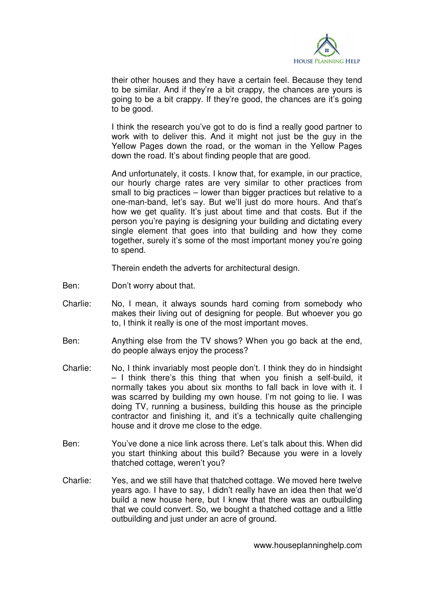

their other houses and they have a certain feel. Because they tend to be similar. And if they're a bit crappy, the chances are yours is going to be a bit crappy. If they're good, the chances are it's going to be good.

 I think the research you've got to do is find a really good partner to work with to deliver this. And it might not just be the guy in the Yellow Pages down the road, or the woman in the Yellow Pages down the road. It's about finding people that are good.

 And unfortunately, it costs. I know that, for example, in our practice, our hourly charge rates are very similar to other practices from small to big practices – lower than bigger practices but relative to a one-man-band, let's say. But we'll just do more hours. And that's how we get quality. It's just about time and that costs. But if the person you're paying is designing your building and dictating every single element that goes into that building and how they come together, surely it's some of the most important money you're going to spend.

Therein endeth the adverts for architectural design.

- Ben: Don't worry about that.
- Charlie: No, I mean, it always sounds hard coming from somebody who makes their living out of designing for people. But whoever you go to, I think it really is one of the most important moves.
- Ben: Anything else from the TV shows? When you go back at the end, do people always enjoy the process?
- Charlie: No, I think invariably most people don't. I think they do in hindsight – I think there's this thing that when you finish a self-build, it normally takes you about six months to fall back in love with it. I was scarred by building my own house. I'm not going to lie. I was doing TV, running a business, building this house as the principle contractor and finishing it, and it's a technically quite challenging house and it drove me close to the edge.
- Ben: You've done a nice link across there. Let's talk about this. When did you start thinking about this build? Because you were in a lovely thatched cottage, weren't you?
- Charlie: Yes, and we still have that thatched cottage. We moved here twelve years ago. I have to say, I didn't really have an idea then that we'd build a new house here, but I knew that there was an outbuilding that we could convert. So, we bought a thatched cottage and a little outbuilding and just under an acre of ground.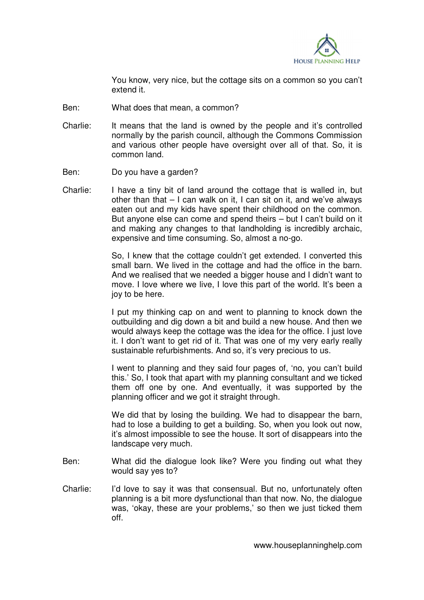

 You know, very nice, but the cottage sits on a common so you can't extend it.

- Ben: What does that mean, a common?
- Charlie: It means that the land is owned by the people and it's controlled normally by the parish council, although the Commons Commission and various other people have oversight over all of that. So, it is common land.
- Ben: Do you have a garden?
- Charlie: I have a tiny bit of land around the cottage that is walled in, but other than that – I can walk on it, I can sit on it, and we've always eaten out and my kids have spent their childhood on the common. But anyone else can come and spend theirs – but I can't build on it and making any changes to that landholding is incredibly archaic, expensive and time consuming. So, almost a no-go.

So. I knew that the cottage couldn't get extended. I converted this small barn. We lived in the cottage and had the office in the barn. And we realised that we needed a bigger house and I didn't want to move. I love where we live, I love this part of the world. It's been a joy to be here.

 I put my thinking cap on and went to planning to knock down the outbuilding and dig down a bit and build a new house. And then we would always keep the cottage was the idea for the office. I just love it. I don't want to get rid of it. That was one of my very early really sustainable refurbishments. And so, it's very precious to us.

 I went to planning and they said four pages of, 'no, you can't build this.' So, I took that apart with my planning consultant and we ticked them off one by one. And eventually, it was supported by the planning officer and we got it straight through.

 We did that by losing the building. We had to disappear the barn, had to lose a building to get a building. So, when you look out now, it's almost impossible to see the house. It sort of disappears into the landscape very much.

- Ben: What did the dialogue look like? Were you finding out what they would say yes to?
- Charlie: I'd love to say it was that consensual. But no, unfortunately often planning is a bit more dysfunctional than that now. No, the dialogue was, 'okay, these are your problems,' so then we just ticked them off.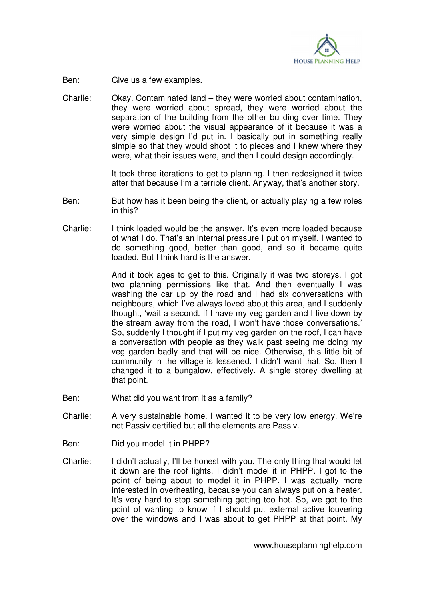

Ben: Give us a few examples.

Charlie: Okay. Contaminated land – they were worried about contamination, they were worried about spread, they were worried about the separation of the building from the other building over time. They were worried about the visual appearance of it because it was a very simple design I'd put in. I basically put in something really simple so that they would shoot it to pieces and I knew where they were, what their issues were, and then I could design accordingly.

> It took three iterations to get to planning. I then redesigned it twice after that because I'm a terrible client. Anyway, that's another story.

- Ben: But how has it been being the client, or actually playing a few roles in this?
- Charlie: I think loaded would be the answer. It's even more loaded because of what I do. That's an internal pressure I put on myself. I wanted to do something good, better than good, and so it became quite loaded. But I think hard is the answer.

 And it took ages to get to this. Originally it was two storeys. I got two planning permissions like that. And then eventually I was washing the car up by the road and I had six conversations with neighbours, which I've always loved about this area, and I suddenly thought, 'wait a second. If I have my veg garden and I live down by the stream away from the road, I won't have those conversations.' So, suddenly I thought if I put my veg garden on the roof, I can have a conversation with people as they walk past seeing me doing my veg garden badly and that will be nice. Otherwise, this little bit of community in the village is lessened. I didn't want that. So, then I changed it to a bungalow, effectively. A single storey dwelling at that point.

- Ben: What did you want from it as a family?
- Charlie: A very sustainable home. I wanted it to be very low energy. We're not Passiv certified but all the elements are Passiv.
- Ben: Did you model it in PHPP?
- Charlie: I didn't actually, I'll be honest with you. The only thing that would let it down are the roof lights. I didn't model it in PHPP. I got to the point of being about to model it in PHPP. I was actually more interested in overheating, because you can always put on a heater. It's very hard to stop something getting too hot. So, we got to the point of wanting to know if I should put external active louvering over the windows and I was about to get PHPP at that point. My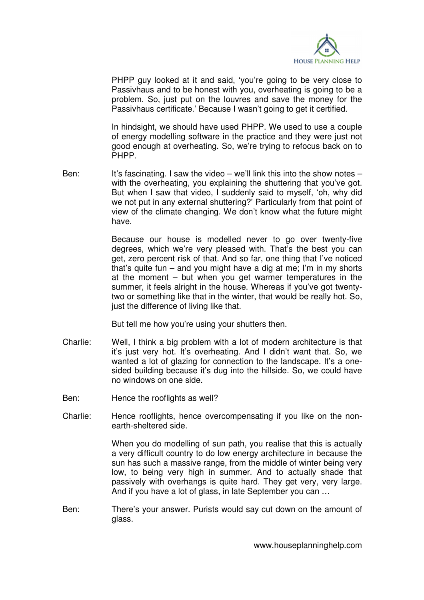

PHPP guy looked at it and said, 'you're going to be very close to Passivhaus and to be honest with you, overheating is going to be a problem. So, just put on the louvres and save the money for the Passivhaus certificate.' Because I wasn't going to get it certified.

 In hindsight, we should have used PHPP. We used to use a couple of energy modelling software in the practice and they were just not good enough at overheating. So, we're trying to refocus back on to PHPP.

Ben: It's fascinating. I saw the video – we'll link this into the show notes – with the overheating, you explaining the shuttering that you've got. But when I saw that video, I suddenly said to myself, 'oh, why did we not put in any external shuttering?' Particularly from that point of view of the climate changing. We don't know what the future might have.

> Because our house is modelled never to go over twenty-five degrees, which we're very pleased with. That's the best you can get, zero percent risk of that. And so far, one thing that I've noticed that's quite fun – and you might have a dig at me; I'm in my shorts at the moment – but when you get warmer temperatures in the summer, it feels alright in the house. Whereas if you've got twentytwo or something like that in the winter, that would be really hot. So, just the difference of living like that.

But tell me how you're using your shutters then.

- Charlie: Well, I think a big problem with a lot of modern architecture is that it's just very hot. It's overheating. And I didn't want that. So, we wanted a lot of glazing for connection to the landscape. It's a onesided building because it's dug into the hillside. So, we could have no windows on one side.
- Ben: Hence the rooflights as well?
- Charlie: Hence rooflights, hence overcompensating if you like on the nonearth-sheltered side.

 When you do modelling of sun path, you realise that this is actually a very difficult country to do low energy architecture in because the sun has such a massive range, from the middle of winter being very low, to being very high in summer. And to actually shade that passively with overhangs is quite hard. They get very, very large. And if you have a lot of glass, in late September you can …

Ben: There's your answer. Purists would say cut down on the amount of glass.

www.houseplanninghelp.com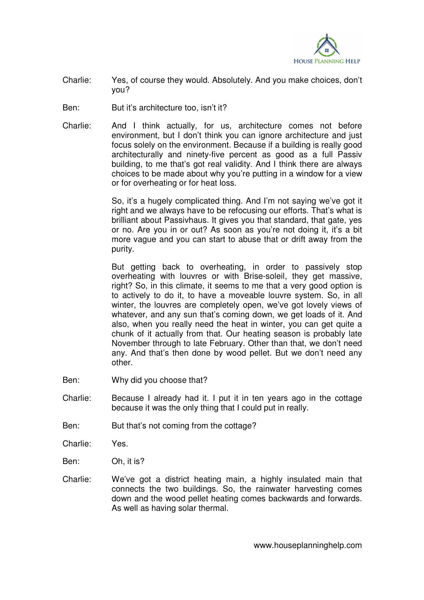

- Charlie: Yes, of course they would. Absolutely. And you make choices, don't you?
- Ben: But it's architecture too, isn't it?
- Charlie: And I think actually, for us, architecture comes not before environment, but I don't think you can ignore architecture and just focus solely on the environment. Because if a building is really good architecturally and ninety-five percent as good as a full Passiv building, to me that's got real validity. And I think there are always choices to be made about why you're putting in a window for a view or for overheating or for heat loss.

 So, it's a hugely complicated thing. And I'm not saying we've got it right and we always have to be refocusing our efforts. That's what is brilliant about Passivhaus. It gives you that standard, that gate, yes or no. Are you in or out? As soon as you're not doing it, it's a bit more vague and you can start to abuse that or drift away from the purity.

 But getting back to overheating, in order to passively stop overheating with louvres or with Brise-soleil, they get massive, right? So, in this climate, it seems to me that a very good option is to actively to do it, to have a moveable louvre system. So, in all winter, the louvres are completely open, we've got lovely views of whatever, and any sun that's coming down, we get loads of it. And also, when you really need the heat in winter, you can get quite a chunk of it actually from that. Our heating season is probably late November through to late February. Other than that, we don't need any. And that's then done by wood pellet. But we don't need any other.

- Ben: Why did you choose that?
- Charlie: Because I already had it. I put it in ten years ago in the cottage because it was the only thing that I could put in really.
- Ben: But that's not coming from the cottage?
- Charlie: Yes.
- Ben: Oh, it is?
- Charlie: We've got a district heating main, a highly insulated main that connects the two buildings. So, the rainwater harvesting comes down and the wood pellet heating comes backwards and forwards. As well as having solar thermal.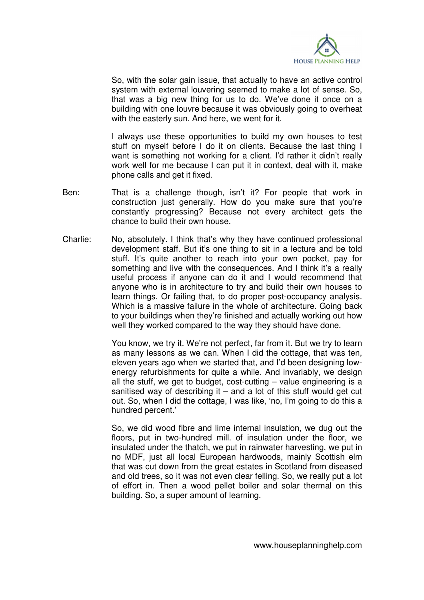

 So, with the solar gain issue, that actually to have an active control system with external louvering seemed to make a lot of sense. So, that was a big new thing for us to do. We've done it once on a building with one louvre because it was obviously going to overheat with the easterly sun. And here, we went for it.

 I always use these opportunities to build my own houses to test stuff on myself before I do it on clients. Because the last thing I want is something not working for a client. I'd rather it didn't really work well for me because I can put it in context, deal with it, make phone calls and get it fixed.

- Ben: That is a challenge though, isn't it? For people that work in construction just generally. How do you make sure that you're constantly progressing? Because not every architect gets the chance to build their own house.
- Charlie: No, absolutely. I think that's why they have continued professional development staff. But it's one thing to sit in a lecture and be told stuff. It's quite another to reach into your own pocket, pay for something and live with the consequences. And I think it's a really useful process if anyone can do it and I would recommend that anyone who is in architecture to try and build their own houses to learn things. Or failing that, to do proper post-occupancy analysis. Which is a massive failure in the whole of architecture. Going back to your buildings when they're finished and actually working out how well they worked compared to the way they should have done.

 You know, we try it. We're not perfect, far from it. But we try to learn as many lessons as we can. When I did the cottage, that was ten, eleven years ago when we started that, and I'd been designing lowenergy refurbishments for quite a while. And invariably, we design all the stuff, we get to budget, cost-cutting – value engineering is a sanitised way of describing it  $-$  and a lot of this stuff would get cut out. So, when I did the cottage, I was like, 'no, I'm going to do this a hundred percent.'

 So, we did wood fibre and lime internal insulation, we dug out the floors, put in two-hundred mill. of insulation under the floor, we insulated under the thatch, we put in rainwater harvesting, we put in no MDF, just all local European hardwoods, mainly Scottish elm that was cut down from the great estates in Scotland from diseased and old trees, so it was not even clear felling. So, we really put a lot of effort in. Then a wood pellet boiler and solar thermal on this building. So, a super amount of learning.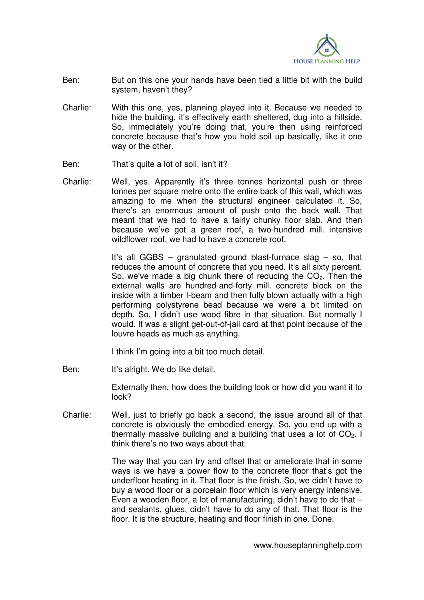

- Ben: But on this one your hands have been tied a little bit with the build system, haven't they?
- Charlie: With this one, yes, planning played into it. Because we needed to hide the building, it's effectively earth sheltered, dug into a hillside. So, immediately you're doing that, you're then using reinforced concrete because that's how you hold soil up basically, like it one way or the other.
- Ben: That's quite a lot of soil, isn't it?
- Charlie: Well, yes. Apparently it's three tonnes horizontal push or three tonnes per square metre onto the entire back of this wall, which was amazing to me when the structural engineer calculated it. So, there's an enormous amount of push onto the back wall. That meant that we had to have a fairly chunky floor slab. And then because we've got a green roof, a two-hundred mill. intensive wildflower roof, we had to have a concrete roof.

 It's all GGBS – granulated ground blast-furnace slag – so, that reduces the amount of concrete that you need. It's all sixty percent. So, we've made a big chunk there of reducing the  $CO<sub>2</sub>$ . Then the external walls are hundred-and-forty mill. concrete block on the inside with a timber I-beam and then fully blown actually with a high performing polystyrene bead because we were a bit limited on depth. So, I didn't use wood fibre in that situation. But normally I would. It was a slight get-out-of-jail card at that point because of the louvre heads as much as anything.

I think I'm going into a bit too much detail.

Ben: It's alright. We do like detail.

 Externally then, how does the building look or how did you want it to look?

Charlie: Well, just to briefly go back a second, the issue around all of that concrete is obviously the embodied energy. So, you end up with a thermally massive building and a building that uses a lot of  $CO<sub>2</sub>$ . I think there's no two ways about that.

> The way that you can try and offset that or ameliorate that in some ways is we have a power flow to the concrete floor that's got the underfloor heating in it. That floor is the finish. So, we didn't have to buy a wood floor or a porcelain floor which is very energy intensive. Even a wooden floor, a lot of manufacturing, didn't have to do that – and sealants, glues, didn't have to do any of that. That floor is the floor. It is the structure, heating and floor finish in one. Done.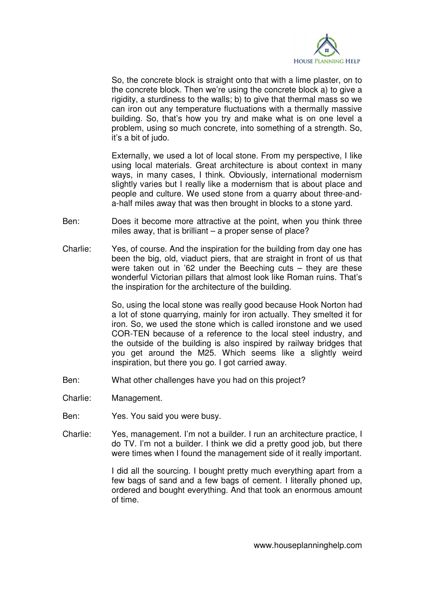

 So, the concrete block is straight onto that with a lime plaster, on to the concrete block. Then we're using the concrete block a) to give a rigidity, a sturdiness to the walls; b) to give that thermal mass so we can iron out any temperature fluctuations with a thermally massive building. So, that's how you try and make what is on one level a problem, using so much concrete, into something of a strength. So, it's a bit of judo.

 Externally, we used a lot of local stone. From my perspective, I like using local materials. Great architecture is about context in many ways, in many cases, I think. Obviously, international modernism slightly varies but I really like a modernism that is about place and people and culture. We used stone from a quarry about three-anda-half miles away that was then brought in blocks to a stone yard.

- Ben: Does it become more attractive at the point, when you think three miles away, that is brilliant – a proper sense of place?
- Charlie: Yes, of course. And the inspiration for the building from day one has been the big, old, viaduct piers, that are straight in front of us that were taken out in '62 under the Beeching cuts – they are these wonderful Victorian pillars that almost look like Roman ruins. That's the inspiration for the architecture of the building.

 So, using the local stone was really good because Hook Norton had a lot of stone quarrying, mainly for iron actually. They smelted it for iron. So, we used the stone which is called ironstone and we used COR-TEN because of a reference to the local steel industry, and the outside of the building is also inspired by railway bridges that you get around the M25. Which seems like a slightly weird inspiration, but there you go. I got carried away.

- Ben: What other challenges have you had on this project?
- Charlie: Management.
- Ben: Yes. You said you were busy.
- Charlie: Yes, management. I'm not a builder. I run an architecture practice, I do TV. I'm not a builder. I think we did a pretty good job, but there were times when I found the management side of it really important.

 I did all the sourcing. I bought pretty much everything apart from a few bags of sand and a few bags of cement. I literally phoned up, ordered and bought everything. And that took an enormous amount of time.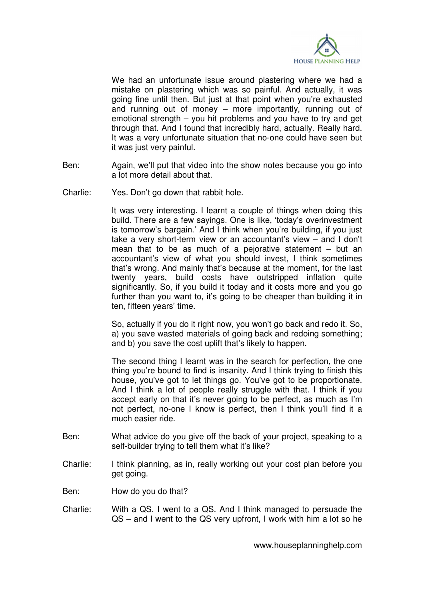

 We had an unfortunate issue around plastering where we had a mistake on plastering which was so painful. And actually, it was going fine until then. But just at that point when you're exhausted and running out of money – more importantly, running out of emotional strength – you hit problems and you have to try and get through that. And I found that incredibly hard, actually. Really hard. It was a very unfortunate situation that no-one could have seen but it was just very painful.

- Ben: Again, we'll put that video into the show notes because you go into a lot more detail about that.
- Charlie: Yes. Don't go down that rabbit hole.

 It was very interesting. I learnt a couple of things when doing this build. There are a few sayings. One is like, 'today's overinvestment is tomorrow's bargain.' And I think when you're building, if you just take a very short-term view or an accountant's view – and I don't mean that to be as much of a pejorative statement – but an accountant's view of what you should invest, I think sometimes that's wrong. And mainly that's because at the moment, for the last twenty years, build costs have outstripped inflation quite significantly. So, if you build it today and it costs more and you go further than you want to, it's going to be cheaper than building it in ten, fifteen years' time.

 So, actually if you do it right now, you won't go back and redo it. So, a) you save wasted materials of going back and redoing something; and b) you save the cost uplift that's likely to happen.

 The second thing I learnt was in the search for perfection, the one thing you're bound to find is insanity. And I think trying to finish this house, you've got to let things go. You've got to be proportionate. And I think a lot of people really struggle with that. I think if you accept early on that it's never going to be perfect, as much as I'm not perfect, no-one I know is perfect, then I think you'll find it a much easier ride.

- Ben: What advice do you give off the back of your project, speaking to a self-builder trying to tell them what it's like?
- Charlie: I think planning, as in, really working out your cost plan before you get going.
- Ben: How do you do that?
- Charlie: With a QS. I went to a QS. And I think managed to persuade the QS – and I went to the QS very upfront, I work with him a lot so he